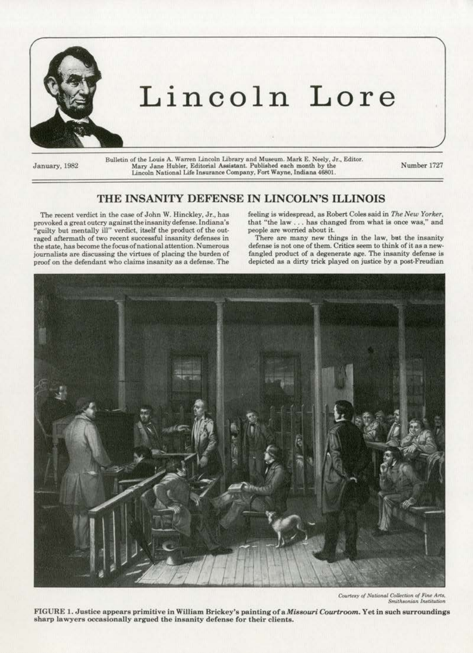

# Lincoln Lore

January, 1982

Bulletin of the Louis A. Warren Lincoln Library and Museum. Mark E. Neely, Jr., Editor. Mary Jane Hubler, Editorial Assistant. Published each month by the Lincoln National Life Insurance Company, Fort Wayne, Indiana 46801.

Number 1727

## THE INSANITY DEFENSE IN LINCOLN'S ILLINOIS

The recent verdict in the case of John W. Hinckley, Jr., has provoked a great outcry against the insanity defense. Indiana's "guilty but mentally ill" verdict, itself the product of the outraged aftermath of two recent successful insanity defenses in the state, has become the focus of national attention. Numerous journalists are discussing the virtues of placing the burden of proof on the defendant who claims insanity as a defense. The

feeling is widespread, as Robert Coles said in The New Yorker, that "the law . . . has changed from what is once was," and people are worried about it.

There are many new things in the law, but the insanity defense is not one of them. Critics seem to think of it as a newfangled product of a degenerate age. The insanity defense is depicted as a dirty trick played on justice by a post-Freudian



Courtesy of National Collection of Fine Arts, Smithsonian Institution

FIGURE 1. Justice appears primitive in William Brickey's painting of a Missouri Courtroom. Yet in such surroundings sharp lawyers occasionally argued the insanity defense for their clients.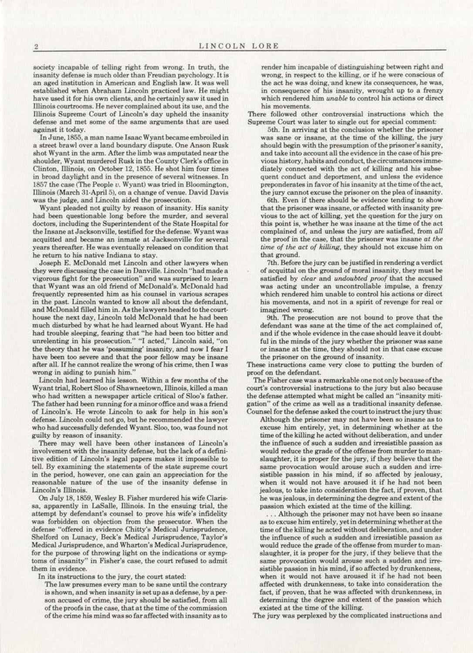society incapable of telling right from wrong. In truth, the insanity defense is much older than Freudian psychology. It is an aged institution in American and English law. It was well established when Abraham Lincoln practiced law. He might have used it for his own clients, and he certainly saw it used in Illinois courtrooms. He never complained about its use, and the Illinois Supreme Court of Lincoln's day upheld the insanity defense and met some of the same arguments that are used against it today.

In June, 1855, a man name Isaac Wyant became embroiled in a street brawl over a land boundary dispute. One Anson Rusk shot Wyant in the arm. After the limb was amputated near the shoulder, Wyant murdered Rusk in the County Clerk's offioo in Clinton, Illinois, on October 12, 1855. He shot him four times in broad daylight and in the presence of several witnesses. In 1857 the case (The People *u.* Wyant) was tried in Bloomington, Illinois (March 31-April 5), on a change of venue. David Davis was the judge, and Lincoln aided the prosecution.

Wyant pleaded not guilty by reason of insanity. His sanity had been questionable long before the murder, and several doctors, including the Superintendent of the State Hospital for the Insane at Jacksonville, testified for the defense. Wyant was acquitted and became an inmate at Jacksonville for several years thereafter. He was eventually released on condition that he return to his native Indiana to stay.

Joseph E. McDonald met Lincoln and other lawyers when they were discussing the case in Danville. Lincoln "had made a vigorous fight for the prosecution'' and was surprised to learn that Wyant was an old friend of McDonald's. McDonald had frequently represented him as his counsel in various scrapes in the past. Lincoln wanted to know all about the defendant, and McDonald filled him in. As the lawyers headed to the courthouse the next day, Lincoln told McDonald that he had been much disturbed by what he had learned about Wyant. He had had trouble sleeping, fearing that "he had been too bitter and unrelenting in his prosecution." "I acted," Lincoln said, "on the theory that he was 'possuming' insanity, and now I fear l have been too severe and that the poor fellow may be insane after all. If he cannot realize the wrong of his crime, then I was wrong in aiding to punish him."

Lincoln had learned his lesson. Within a few months of the Wyant trial, Robert Sloo of Shawneetown, Illinois, killed a man who had written a newspaper article critical of Sloo's father. The father had been running for a minor office and was a friend of Lincoln's. He wrote Lincoln to ask for help in his son's defense. Lincoln could not go, but he recommended the lawyer who had successfully defended Wyant. Sloo. too, was found not guilty by reason of insanity.

There may well have been other instances of Lincoln's involvement with the insanity defense. but the lack of a defini· tive edition or Lincoln's legal papers makes it impossible to tell. By examining the statements of the state supreme court in the period, however, one can gain an appreciation for the reasonable nature of the use of the insanity defense in Lincoln's Illinois.

On July 18, 1859, Wesley B. Fisher murdered his wife Claris· sa, apparently in LaSalle, Illinois. In the ensuing trial, the attempt by defendant's counsel to prove his wife's infidelity was forbidden on objection from the prosecutor. When the defense "offered in evidence Chitty's Medical Jurisprudence, Shelford on Lunacy, Beck's Medical Jurisprudence, Taylor's Medical Jurisprudence, and Wharton's Medical Jurisprudence, for the purpose of throwing light on the indications or symptoms of insanity" in Fisher's case, the court refused to admit them in evidence.

In its instructions to the jury, the court stated:

The law presumes every man to be sane until the contrary is shown, and when insanity is set up as a defense, by a person accused of crime, the jury should be satisfied, from all of the proofs in the case. that at the time of the commission of the crime his mind was so far affected with insanity as to

render him incapable of distinguishing between right and wrong, in respect to the killing, or if he were conscious of the act he was doing; and knew its consequences, he was, in consequence of his insanity, wrought up to a frenzy which rendered him *unable* to control his actions or direct his movements.

There followed other controversial instructions which the Supreme Court was later to single out for special comment;

5th. In arriving at the conclusion whether the prisoner was sane or insane, at the time of the killing, the jury should begin with the presumption of the prisoner's sanity, and take into account all the evidence in the case of his previous history. habits and conduct, the circumstances immediately connected with the act of killing and his subsequent conduct and deportment, and unless the evidence. preponderates in favor of his insanity at the time of the act, the jury cannot excuse the prisoner on the plea of insanity.

6th. Even if there should be evidence tending to show that the prisoner was insane, or affected with insanity previous to the act of killing. yet the question for the jury on this point is, whether he was insane at the time of the act complained of, and unless the jury are satisfied, from *all*  the proof in the case, that the prisoner was insane *at the time of the act of killing,* they ahould not excuse him on that ground.

7th. Before the jury can be justified in rendering a verdict of acquittal on the ground of moral insanity, they must be satisfied by *clear* and *undoubted proof* that the accused was acting under an uncontrollable impulse, a frenzy which rendered him unable to control his actions or direct his movements, and not in a spirit of revenge for real or imagined wrong.

9th. The prosecution are not bound to prove that the defendant was sane at the time of the act complained of, and if the whole evidence in the case should leave it doubtful in the minds of the jury whether the prisoner was sane or insane at the time, they should not in that case excuse the prisoner on the ground of insanity.

These instructions came very close to putting the burden of proof on the defendant.

The Fisher case was a remarkable one not only because of the court's controversial instructions to the jury but also because the defense attempted what might be called an "insanity miti· gation" of the crime as well aa a traditional insanity defense. Counsel for the defense asked the court to instruct the jury thus:

AJthough the prisoner may not have been so insane as to excuse him entirely, yet, in determining whether at the time of the killing he acted without deliberation, and under the influence of such a sudden and irresistible passion as would reduce the grade of the offense from murder to man· slaughter, it is proper for the jury, if they believe that the same provocation would arouse such a sudden and irresistible passion in his mind, if so affected by jealousy, when it would not have aroused it if he had not been jealous, to take into consideration the fact. if proven. that he was jealous, in determining the degree and extent of the passion which existed at the time of the killing.

.. . Although the prisoner may not have been so insane as to excuse him entirely, yet in determining whether at the time of the killing he acted without deliberation, and under the influence of such a sudden and irresistible passion as would reduce the grade of the offense from murder to man· slaughter, it is proper for the jury, if they believe that the same provocation would arouse such a sudden and irresistible passion in his mind. if so affected by drunkenness, when it would not have aroused it if he had not been affected with drunkenness, to take into consideration the fact, if proven, that he was affected with drunkenness, in determining the degree and extent of the passion which existed at tbe time of the killing.

The jury was perplexed by the complicated instructions and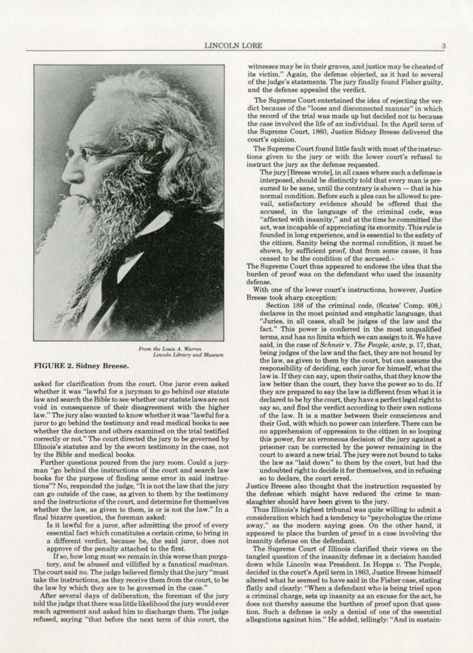

*From the Louis A. Warren*  $Lincoln Library and Museum$ 

#### FIGURE 2. Sidney Breese.

**asked for clarification from the court. One juror even asked**  whether it was "lawful for a juryman to go behind our statute **law and search the Bible to soo whether our statute Jaws are not**  void in consequence of their disagreement with the higher **law.''Thejury also wanted** *to* **k.nowwhetheritwas'rlawfu) fora**  juror to go behind the testimony and read medical books to see whether the doctors and others examined on the trial testified correctly or not." The court directed the jury to be governed by **Illinois's statutes and by the sworn testimony in the case, not**  by the Bible and medical books.

Further questions poured from the jury room. Could a jury· **man "go behind the instructions of the court and search law**  books for the purpose of finding some error in said instructions"'? No, responded the judge, "It is not the law that the jury **can go outside of the case, as given to them by the testimony and the instructions of the court, and detenninc for themselves whether the law, as given to them. is or is not the law." ln a**  final bizarre question, the foreman asked:

Is it lawful for a juror, after admitting the proof of every essential fact which constitutes a certain crime, to bring in **a different. verdict, because he, the said juror, does not**  approve of the penalty attached to the first.

**If so, how long must we remain in this worse than purga·**  tory, and be abused and villified by a fanatical *madman.*  The court said no. The judge believed firmly that the jury "must take the instructions, as they receive them from the court, to be the law by which they are to be governed in the case."

After several days of deliberation, the foreman of the jury told the judge that there was little likelihood the jury would ever reach agreement and asked him to discharge them. The judge refused, saying "that before the next term of this court. the

witnesses may be in their graves, and justice may be cheated of **ita victim." Again, the defense objected, as it had to several**  of the judge's statements. The jury finally found F'isher guilty, and the defense appealed the verdict.

The Supreme Court entertained the idea of rejecting the ver**diet because of the "loose and disconnected manner" in which**  the record of the trial was made up but decided not to because **the case involved the life of an individual. In the April term of**  the Supreme Court, 1860, Justice Sidney Breese delivered the **court's opinion.** 

The Supreme Court found little fault with most of the instruc**tions given to the jury or with the lower court's refusal to instruct the jury as the defense requested.** 

The jury [Breese wrote], in all cases where such a defense is interposed, should be distinctly told that every man is pre $sumed to be same, until the contrary is shown—that is his$ normal condition. Before such a plea can be allowed to prevail, satisfactory eviden ce should be offered that the **accused, in the language of the criminal code, was "affected with insanity/' and at the time he committed the act, was incapable of appreciating its enormity. This r-ule is founded in long experience, and is essential to the safety of the citizen. Sanity being the normal condition, it must be shown, by sufficient proof, that from some cause, it has**  ceased to be the condition of the accused.•

The Supreme Court thus appeared to endorse the idea that the **burden of proof wes on the defendant who used the insanity defense.** 

**With one of the lower court's instructions. however, Justice**  Breese took sharp exception:

Section 188 of the criminal code, (Scates' Comp. 408,) declares in the most pointed and emphatic language, that **uJuries, in all cases, shall be judges of the law and the**  fact." This power is conferred in the most unqualified **terms, and has no limits which we can assign to it. We have**  said, in the case of *Schneir* v. *The People, ante,* p. 17, that, being judges of the law and the fact, they are not bound by the law, as given to them by the court, but can assume the responsibility of deciding, each juror for himself, what the **Ia w is. If they can say, upon their oaths, that they know the**  law better than the court, they have the power so to do. If they are prepared to say the law is different from what it is declared to be by the court, they have a perfect legal right to **say so, and find the verdict according to their own notions of the law. It is a matter between their consciences and**  their God, with which no power can interfere. There can be **no apprehension of oppression to the citizen in so looping this power, for an erroneous decision of the jury against a prisoner can be corrected by the power remaining in the court to award a new trial. The jury were not bound to take**  the Jaw as "laid down" to them by the court, but had the undoubted right to decide it for themselves, and in refusing so to declare, the court erred.

Justice Breese also thought that the instruction requested by the defense which might have reduced the' crime to man· slaughter should have been given to the jury.

Thus Illinois's highest tribunal was quite willing to admit a **consideration which had a tendency to "psychologize the crime**  away," as the modern saying goes. On the other hand, it appeared to place the burden of proof in a case involving the **insanity defense on the defendant..** 

The Supreme Court of Illinois clarified their views on the **tangled question of the insanity defense in a decision handed**  down while Uncoln was President. In Hopps *u.* The People, decided in the court's April term in 1863, Justice Breese himself altered what he seemed to have said in the Fisher case, stating flatly and clearly: "When a defendant who is being tried upon **a criminal charge, sets up insanity as an excuse for the act, he**  does not thereby assume the burthen of proof upon that ques**tion. Such a defense is on1y a denial of one of the essential**  allegations against him." He added, tellingly: "And in sustain